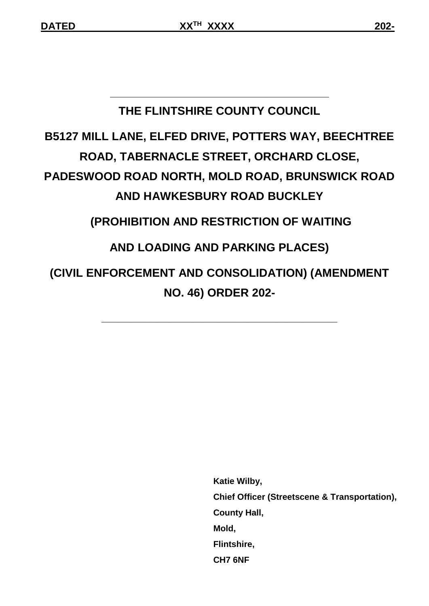# **THE FLINTSHIRE COUNTY COUNCIL**

**\_\_\_\_\_\_\_\_\_\_\_\_\_\_\_\_\_\_\_\_\_\_\_\_\_\_\_\_\_\_\_\_\_\_\_\_\_\_\_**

# **B5127 MILL LANE, ELFED DRIVE, POTTERS WAY, BEECHTREE ROAD, TABERNACLE STREET, ORCHARD CLOSE, PADESWOOD ROAD NORTH, MOLD ROAD, BRUNSWICK ROAD AND HAWKESBURY ROAD BUCKLEY (PROHIBITION AND RESTRICTION OF WAITING AND LOADING AND PARKING PLACES)**

# **(CIVIL ENFORCEMENT AND CONSOLIDATION) (AMENDMENT NO. 46) ORDER 202-**

**\_\_\_\_\_\_\_\_\_\_\_\_\_\_\_\_\_\_\_\_\_\_\_\_\_\_\_\_\_\_\_\_\_\_\_\_\_\_\_\_\_\_**

 **Katie Wilby, Chief Officer (Streetscene & Transportation), County Hall, Mold, Flintshire, CH7 6NF**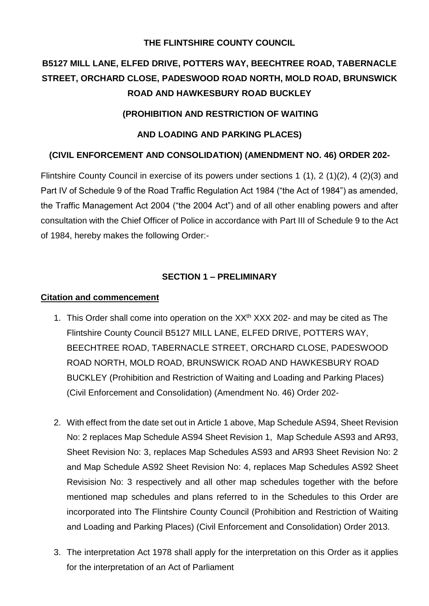#### **THE FLINTSHIRE COUNTY COUNCIL**

## **B5127 MILL LANE, ELFED DRIVE, POTTERS WAY, BEECHTREE ROAD, TABERNACLE STREET, ORCHARD CLOSE, PADESWOOD ROAD NORTH, MOLD ROAD, BRUNSWICK ROAD AND HAWKESBURY ROAD BUCKLEY**

#### **(PROHIBITION AND RESTRICTION OF WAITING**

#### **AND LOADING AND PARKING PLACES)**

#### **(CIVIL ENFORCEMENT AND CONSOLIDATION) (AMENDMENT NO. 46) ORDER 202-**

Flintshire County Council in exercise of its powers under sections 1 (1), 2 (1)(2), 4 (2)(3) and Part IV of Schedule 9 of the Road Traffic Regulation Act 1984 ("the Act of 1984") as amended, the Traffic Management Act 2004 ("the 2004 Act") and of all other enabling powers and after consultation with the Chief Officer of Police in accordance with Part III of Schedule 9 to the Act of 1984, hereby makes the following Order:-

#### **SECTION 1 – PRELIMINARY**

#### **Citation and commencement**

- 1. This Order shall come into operation on the XX<sup>th</sup> XXX 202- and may be cited as The Flintshire County Council B5127 MILL LANE, ELFED DRIVE, POTTERS WAY, BEECHTREE ROAD, TABERNACLE STREET, ORCHARD CLOSE, PADESWOOD ROAD NORTH, MOLD ROAD, BRUNSWICK ROAD AND HAWKESBURY ROAD BUCKLEY (Prohibition and Restriction of Waiting and Loading and Parking Places) (Civil Enforcement and Consolidation) (Amendment No. 46) Order 202-
- 2. With effect from the date set out in Article 1 above, Map Schedule AS94, Sheet Revision No: 2 replaces Map Schedule AS94 Sheet Revision 1, Map Schedule AS93 and AR93, Sheet Revision No: 3, replaces Map Schedules AS93 and AR93 Sheet Revision No: 2 and Map Schedule AS92 Sheet Revision No: 4, replaces Map Schedules AS92 Sheet Revisision No: 3 respectively and all other map schedules together with the before mentioned map schedules and plans referred to in the Schedules to this Order are incorporated into The Flintshire County Council (Prohibition and Restriction of Waiting and Loading and Parking Places) (Civil Enforcement and Consolidation) Order 2013.
- 3. The interpretation Act 1978 shall apply for the interpretation on this Order as it applies for the interpretation of an Act of Parliament